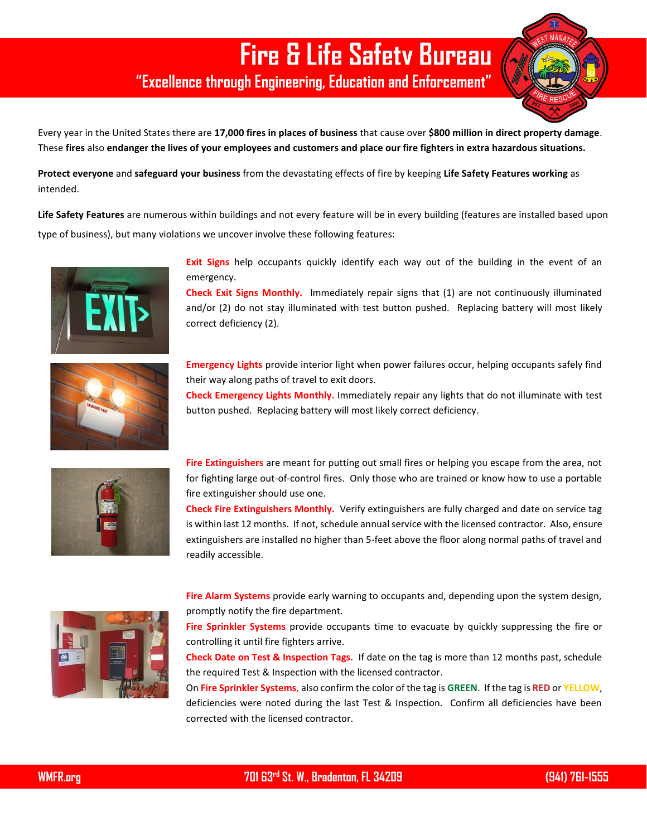## **Fire & Life Safety Bureau**

**"Excellence through Engineering, Education and Enforcement"**

Every year in the United States there are **17,000 fires in places of business** that cause over **\$800 million in direct property damage**. These **fires** also **endanger the lives of your employees and customers and place our fire fighters in extra hazardous situations.**

**Protect everyone** and **safeguard your business** from the devastating effects of fire by keeping **Life Safety Features working** as intended.

**Life Safety Features** are numerous within buildings and not every feature will be in every building (features are installed based upon type of business), but many violations we uncover involve these following features:



**Exit Signs** help occupants quickly identify each way out of the building in the event of an emergency.

**Check Exit Signs Monthly.** Immediately repair signs that (1) are not continuously illuminated and/or (2) do not stay illuminated with test button pushed. Replacing battery will most likely correct deficiency (2).



**Emergency Lights** provide interior light when power failures occur, helping occupants safely find their way along paths of travel to exit doors.

**Check Emergency Lights Monthly.** Immediately repair any lights that do not illuminate with test button pushed. Replacing battery will most likely correct deficiency.



**Fire Extinguishers** are meant for putting out small fires or helping you escape from the area, not for fighting large out-of-control fires. Only those who are trained or know how to use a portable fire extinguisher should use one.

**Check Fire Extinguishers Monthly.** Verify extinguishers are fully charged and date on service tag is within last 12 months. If not, schedule annual service with the licensed contractor. Also, ensure extinguishers are installed no higher than 5-feet above the floor along normal paths of travel and readily accessible.



**Fire Alarm Systems** provide early warning to occupants and, depending upon the system design, promptly notify the fire department.

**Fire Sprinkler Systems** provide occupants time to evacuate by quickly suppressing the fire or controlling it until fire fighters arrive.

**Check Date on Test & Inspection Tags.** If date on the tag is more than 12 months past, schedule the required Test & Inspection with the licensed contractor.

On **Fire Sprinkler Systems**, also confirm the color of the tag is **GREEN**. If the tag is **RED** or **YELLOW**, deficiencies were noted during the last Test & Inspection. Confirm all deficiencies have been corrected with the licensed contractor.